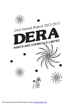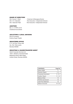## *BOARD OF DIRECTORS*

- Shri. Kumar V. Shah Chairman & Managing Director
- Shri. H.A. Salunkhe Non Executive / Independent Director
- Shri. Hasmukh Patel Non Executive / Independent Director

## *AUDITORS*

M/s. C. K. PATIL & CO Chartered Accountants

## *SOLICITORS & LEGAL ADVISORS*

Dhru & Company Krishna Gopal Tripathi.

## *REGISTERED OFFICE*

F111,1st Floor, Prime mall, Irla, Vile- Parle (west), Mumbai 400056

## *REGISTRAR & SHARESTRANSFER AGENT*

Adroit Corporate Services Ltd. 19/20, Jaferbhoy Industrial Estate Makawana Road, Marol Naka, Andheri (East), Mumbai-400059.

| <b>CONTENTS:</b>        | Page No.  |
|-------------------------|-----------|
| Notice (AGM)            | 2         |
| Directors' Report       | $3 - 5$   |
| Corporate Governance    | $5 - 10$  |
| <b>Auditors' Report</b> | $11 - 12$ |
| <b>Balance Sheet</b>    | 13        |
| Profit & Loss Account   | 14        |
| Cash Flow Statement     | 15        |
| Notes to Accounts       | 16 - 20   |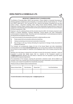## **IMPORTANT COMMUNICATION TO SHAREHOLDERS**

The Ministry of Corporate Affairs ("MCA") has launched a "Green Initiative in Corporate Governance by allowing paperless compliances by the Companies. In accordance with the circular bearing nos. 17/ 2011 and 18/2011 dated April 21, 2011 and April 29, 2011, issued by the Ministry, Companies can now send various notices / documents (including notice calling Annual General Meeting, Audited Financial Statements, Directors' Report, Auditors' Report, etc.) to their shareholders through electronic mode to the registered e-mail addresses of the shareholders and the same is deemed as valid service in terms of Section 53 of the Companies Act, 1956.

Keeping in view the underlying theme and the circular(s) issued by MCA, the Company proposes to send Notices of General Meeting(s), Financial Statements, Annual Reports and other shareholders' communications in electronic mode. This will be sent to the shareholders' e-mail address(es) provided by the depositories and registered with the Company.

E- mail Communications to the shareholders will result in multiple benefits as under:

- $\bullet$  Timely receipt of all communications without any transit loss.
- l Helping in protecting environment and conservation of resources.
- Easy storage in soft copy, thereby eliminating the requirement of storage of bulky documents for subsequent reference.

The Company will simultaneously display full text of the Annual Report and other shareholders' communications on its website **www.derapaints.net** as soon as the same is emailed to the shareholders and will also be made available for inspection at the Registered office of the Company during the office hours.

Members who hold shares in physical form and desire to receive the documents in electronic mode are requested to provide their details (name, folio no., email-id) on the Company's email-id viz. **mail@derapaints.net**. Members who hold shares in electronic form are requested to get their details updated with the respective depositories.

The shareholders of the Company, receiving the documents in electronic mode, will be entitled to be furnished, free of cost, a printed copy of the Annual Report and other shareholders communications of the Company, upon receipt of a requisition from shareholder, at any time.

Please provide your details in below mentioned format.

| Name of share Holder | <b>Folio Numbers</b> | Shares held | <b>Your Email address</b> |
|----------------------|----------------------|-------------|---------------------------|
|                      |                      |             |                           |

**Furnish information on the Company mail :- mail@derapaints.net**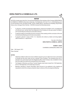## *NOTICE*

NOTICE is hereby given that 23rd Annual General Meeting of the members of the Company DERAPAINTS & CHEMICALS LIMITED will be held on Saturday, 21st September, 2013 at 9.15 a.m. at Ultra Meeting room (In the Premises of PXL soft office) 3A/3B, 1st floor, Master Mind II, Opp Moroccon Building ,Royal Palms Aarey colony, Goregaon East Mumbai – 400 065 to transact the following business.

- 1. To. Receive, consider and adopt the Audited balance- sheet as at 31st March, 2013 , the Statement of Profit and Loss and the Cash Flow Statement of the Company for the year ended 31st March, 2013 and the Reports of Directors and Auditors thereon.
- 2. To appoint auditors to hold office from the conclusion of this meeting until the conclusion of the next Annual General Meeting and to fix their remuneration.
- 3. To appoint a director in place of Shri. H. A. Salunkhe who retires by rotation and being eligible, offers himself for re – appointment.

By order of the Board **DERA PAINTS & CHEMICAL LIMITED** 

**KUMAR V. SHAH** CHAIRMAN & MANAGING DIRECTOR

Date: 14th August, 2013

Place: Mumbai

## **NOTES**

- 1. AMember entitled to attend and vote is entitled to appoint a proxy to attend and vote on poll instead of himself and the proxy need not be a member of the Company. The enclosed proxy from, if intended to be used should reach the Registered office of the Company duly completed not less than forty-eight hours before the scheduled time of the meeting.
- 2. The Register of Members and Share Transfer Register shall remain closed from 13th September, 2013 to 14th September, 2013 (both days inclusive)
- 3. Members intending to require information about Account to be explained at the meeting are requested to write to the company at least ten days in advance of the annual general Meeting.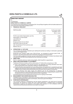## *DIRECTOR'S REPORT*

To,

## The Members

### **DERA PAINTS & CHEMICALS LIMITED**

Your Directors have great pleasure in presenting 23rd Annual Report together with the Audited statement of Accounts for the year ended 31st March, 2013

### **1. FINANCIAL HIGHLIGHT**

| <b>PARTICULARS</b>                         | For the year ended<br>31st March, 2013<br>(Rs. in. Lacs) | for the year ended<br>31st March, 2012<br>(Rs. in. Lacs) |
|--------------------------------------------|----------------------------------------------------------|----------------------------------------------------------|
| Profit /(Loss) before Depreciation and Tax | (5.90)                                                   | (0.82)                                                   |
| Depreciation on fixed Assets               | 0.50                                                     | 0.50                                                     |
| Loss before tax                            | (5.40)                                                   | (0.32)                                                   |
| Deferred tax                               | (0.05)                                                   | (0.32)                                                   |
| Excess provision for tax w/back            |                                                          | 20.84                                                    |
| Net Profit /(Loss) for the year            | (5.45)                                                   | 20.20                                                    |
| Add: Surplus/loss b/f from previous year   | (1284.57)                                                | (1304.77)                                                |
| Balance loss c/f                           | (1290.02)                                                | (1284.57)                                                |
|                                            |                                                          |                                                          |

### **2. OPERATIONS & OUTLOOK**

Your Company has already embarked upon starting the business by trading in chemicals to generate revenue and mitigate losses.

During the year company made Loss of Rs.5.45 lacs as compared to previous year's Profit of Rs.20.20 Lacs which was mainly due to write back of excess income-tax provision.

The final onetime settlement has been arrived at with SICOM Ltd and the Company has already made the payment to SICOM Ltd and obtained No Due Certificate accordingly.

### **3. DIRECTORS :**

Shri H. A. Salunkhe retires by rotation being eligible, offer himself for re-appointment.

### **4. DIRECTORS' RESPONSIBILITYSTATEMENT :**

The Board of Directors hereby confirms under section 217 (2AA) of the companies act, 1956.

- (i) That in the preparation of the annual accounts, the applicable accounting standards have been followed along with proper explanation relating to material departures.
- (ii) That the Directors have selected such accounting policies and applied them consistently and made judgment and estimate that are reasonable and prudent so as to give a true and fair view of the state of affairs of the company at the financial year and of the loss of the company for that period.
- (iii)That the Directors have taken proper and sufficient care for the maintenance of adequate accounting records in accordance with the provisions of this act for safeguarding the assets of the Company and for preventing and detecting fraud other irregularities.

(iv)That the Directors have prepared the annual account on a going concern basis.

### **5. MANAGEMENT DISCUSSION AND ANALYSIS**

Adetailed review of operations, performance and future outlook of your Company and its businesses is given in the Management Discussion and Analysis, which forms part of this Report

### **6. CORPORATE GOVERNANCE**

Your Company believes in transparency and has always maintained a very high level of corporate governance. As required by Clause 49 of the Listing Agreement, a detailed report of Corporate Governance is given as an annexure to this report. Your company is in full compliance with the requirements and disclosures that have to be made in this regard.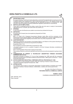## **7. SECRETARIALAUDIT**

Mr. Jignesh Pandya, Practicing Company Secretary conducted Secretarial Audit pursuant to provisions of Section 383A of the Companies Act, 1956, for the financial year 2012-13. Mr. Jignesh Pandya has submitted the Report confirming compliance with the applicable provisions of Companies Act, 1956 and other rules and regulations issued by SEBI/other regulatory authorities for corporate law.

### **8. PARTICULAR OF EMPLOYEES:**

There were no employee during the whole or part of the year who were in receipt of remuneration aggregating to Rs. 5, 00,000/- per month of Rs. 60, 00,000/- p.a .

## **9. DIVIDEND:**

In view of the loss, the Directors are unable to recommend any dividend for the year.

### **10. DEPOSITES :**

During the year Company has not accepted any deposits from Public.

### **11. AUDITORS:**

M/S C. K. Patil & CO. Chartered Accountants, Mumbai, holds office until the conclusion of the forthcoming Annual General Meeting. They signified their willingness to accept re-appointment and have further confirmed their eligibility under section 224(1-B ) of the companies Act, 1956.

### **12. AUDITORS REPORT :**

Regarding qualification and remarks in the Auditors Report, your Board is of the opinion that they are self-explanatory & no comments are required from the Board.

Explanation Note 17 (3)

Non Compliance of section 383Aof the Companies Act,1956.

At present company is not in a position to appoint a full time Company Secretary considering its financial position.

Note 17 (6) Preparation of Accounts on going concern basis

The company intends to continue its operations and hence the accounts are prepared on going concern basis.

### **13. CONSERVATION OF ENERGY & TECHNOLOGY ABSORPTION FOREIGN EXCHANGE EARNINGS AND OUTGO:**

Information pursuant to Section 217 (1) (e) of the Companies Act, 1956 read with the companies (Disclosure of particulars in the Report of Board of Directors Rules, 1988 is given in Annexure – 1 which forms part of this report.

### **14. STATUS UNDER SICK INDUSTRIAL COMPANIES (SPECIALPROVISION) ACT, 1985.**

The Company is a Sick Industrial Company within the meaning of Section 3(1)(0) of the Sick Industrial Companies (Special Provision) Act, 1985.

## **15. APPRECIATION:**

Your Directors wish to place on record their appreciation of whole hearted co-operation and cordial support from bankers, financial institution, shareholders, creditors and various government agencies.

> By order of the Board of Directors. **FOR DERA PAINTS & CHEMICALS LIMITED**

> > **KUMAR V. SHAH** CHAIRMAN & MANAGING DIRECTOR

Date: 30th May, 2013 Place: Mumbai.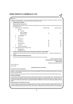|          |                |                      | DERA PAINTS & CHEMICALS LTD.                                                                        |                                                                                                                                                                                                                                                                                                                                                                                                                                                                                                                                                                                                                      |                                                |
|----------|----------------|----------------------|-----------------------------------------------------------------------------------------------------|----------------------------------------------------------------------------------------------------------------------------------------------------------------------------------------------------------------------------------------------------------------------------------------------------------------------------------------------------------------------------------------------------------------------------------------------------------------------------------------------------------------------------------------------------------------------------------------------------------------------|------------------------------------------------|
|          | Annexure - 'l' |                      |                                                                                                     |                                                                                                                                                                                                                                                                                                                                                                                                                                                                                                                                                                                                                      |                                                |
|          |                |                      |                                                                                                     | Information pursuant to Section 217 (1(e) of the companies Act, 1956 read with companies (Disclosure of Particulars in the Report of the Board                                                                                                                                                                                                                                                                                                                                                                                                                                                                       |                                                |
|          |                |                      | of Directors) rule 1988 attached to and forming part of the Directors Report for the year.          |                                                                                                                                                                                                                                                                                                                                                                                                                                                                                                                                                                                                                      |                                                |
| 1.       |                |                      | <b>CONSERVATION OF ENERGY I</b>                                                                     |                                                                                                                                                                                                                                                                                                                                                                                                                                                                                                                                                                                                                      |                                                |
|          |                |                      | Energy conservation measure taken                                                                   | Constant efforts are being made to improve power factor and to effect saving in power and fuel consumption and energy consumption per unit                                                                                                                                                                                                                                                                                                                                                                                                                                                                           |                                                |
|          |                |                      | of production (form 'A').                                                                           |                                                                                                                                                                                                                                                                                                                                                                                                                                                                                                                                                                                                                      |                                                |
|          | А.             |                      | POWER AND FUEL CONSUMPTION                                                                          | <b>CURRENT YEAR</b>                                                                                                                                                                                                                                                                                                                                                                                                                                                                                                                                                                                                  | <b>PREVIOUS YEAR</b>                           |
|          |                | 1.                   | Electricity                                                                                         |                                                                                                                                                                                                                                                                                                                                                                                                                                                                                                                                                                                                                      |                                                |
|          |                |                      | Purchased<br>(a)                                                                                    |                                                                                                                                                                                                                                                                                                                                                                                                                                                                                                                                                                                                                      |                                                |
|          |                |                      | Units (in thousand)<br>Total Amount (Rs.)                                                           | <b>NIL</b>                                                                                                                                                                                                                                                                                                                                                                                                                                                                                                                                                                                                           | <b>NIL</b>                                     |
|          |                | (b)                  | Rate per Unit (Rs.)<br>Own Generation                                                               |                                                                                                                                                                                                                                                                                                                                                                                                                                                                                                                                                                                                                      |                                                |
|          |                | 2.                   | Coal                                                                                                |                                                                                                                                                                                                                                                                                                                                                                                                                                                                                                                                                                                                                      |                                                |
|          |                | 3.                   | Light Diesel Oil                                                                                    |                                                                                                                                                                                                                                                                                                                                                                                                                                                                                                                                                                                                                      |                                                |
|          |                |                      | Quantity (Ltr.)                                                                                     | <b>NIL</b>                                                                                                                                                                                                                                                                                                                                                                                                                                                                                                                                                                                                           | <b>NIL</b>                                     |
|          |                |                      | Total Cost (Rs.)                                                                                    | <b>NIL</b>                                                                                                                                                                                                                                                                                                                                                                                                                                                                                                                                                                                                           | <b>NIL</b>                                     |
|          |                |                      | Average Rate (Rs.)                                                                                  | <b>NIL</b>                                                                                                                                                                                                                                                                                                                                                                                                                                                                                                                                                                                                           | <b>NIL</b>                                     |
|          |                | 4.                   | Furnace Oil                                                                                         | <b>NIL</b>                                                                                                                                                                                                                                                                                                                                                                                                                                                                                                                                                                                                           | <b>NIL</b>                                     |
|          | В.             | 5.                   | Other/internal generation<br>CONSUMPTION PER UNIT PRODUCTION                                        | <b>NIL</b>                                                                                                                                                                                                                                                                                                                                                                                                                                                                                                                                                                                                           | <b>NIL</b>                                     |
|          |                | 1.<br>2.             | Electricity (Unit)<br>Light Diesel Oil (Ltr)                                                        |                                                                                                                                                                                                                                                                                                                                                                                                                                                                                                                                                                                                                      |                                                |
| II.      |                |                      | TECHNOLGY ABORPATION ADAPATATION, INNOVATION AND RESEARCH & DEVELOPMENT:                            |                                                                                                                                                                                                                                                                                                                                                                                                                                                                                                                                                                                                                      |                                                |
|          |                | adopted.             | No Technology has been imported by the company. Technology innovation and changes wherever          |                                                                                                                                                                                                                                                                                                                                                                                                                                                                                                                                                                                                                      | possible are being absorbed and                |
| III.     |                |                      | <b>FOREIGN EXCHANGE EARNINGS AND OUTGO:</b>                                                         |                                                                                                                                                                                                                                                                                                                                                                                                                                                                                                                                                                                                                      |                                                |
|          |                |                      | There were no earning or outgo in Foreign Exchange either during the Current year or Previous year. |                                                                                                                                                                                                                                                                                                                                                                                                                                                                                                                                                                                                                      |                                                |
|          |                |                      |                                                                                                     |                                                                                                                                                                                                                                                                                                                                                                                                                                                                                                                                                                                                                      | By order of the Board of Director              |
|          |                |                      |                                                                                                     |                                                                                                                                                                                                                                                                                                                                                                                                                                                                                                                                                                                                                      | <b>FOR DERA PAINTS &amp; CHEMICALS LIMITED</b> |
|          |                |                      |                                                                                                     |                                                                                                                                                                                                                                                                                                                                                                                                                                                                                                                                                                                                                      | <b>KUMAR V. SHAH</b>                           |
|          |                |                      |                                                                                                     |                                                                                                                                                                                                                                                                                                                                                                                                                                                                                                                                                                                                                      | <b>CHAIRMAN &amp; MANAGING DIRECTOR</b>        |
|          |                | Date: 30th May, 2013 |                                                                                                     |                                                                                                                                                                                                                                                                                                                                                                                                                                                                                                                                                                                                                      |                                                |
|          | Place: Mumbai  |                      |                                                                                                     |                                                                                                                                                                                                                                                                                                                                                                                                                                                                                                                                                                                                                      |                                                |
|          |                |                      |                                                                                                     | <b>Management Discussion and Analysis</b>                                                                                                                                                                                                                                                                                                                                                                                                                                                                                                                                                                            |                                                |
|          |                |                      | (i) Industry structure and developments                                                             |                                                                                                                                                                                                                                                                                                                                                                                                                                                                                                                                                                                                                      |                                                |
|          |                |                      | economy remaining unaffected.                                                                       | Since 2011, the word economy is getting scaled down by the financial crises with general slowdown in developed countries including US. However<br>slowdown in India impacted the economy much more. The slow down especially in 2012-13 has been across the board, with no sector of the                                                                                                                                                                                                                                                                                                                             |                                                |
|          |                |                      |                                                                                                     | Demand condition has been declining more and more. The impact of weak Indian rupee for most part of the year has also effected badly to industry.                                                                                                                                                                                                                                                                                                                                                                                                                                                                    |                                                |
|          |                |                      | <b>PRODUCTS &amp; MARKETS</b>                                                                       |                                                                                                                                                                                                                                                                                                                                                                                                                                                                                                                                                                                                                      |                                                |
| dealers. |                |                      |                                                                                                     | Your company is in the field of Manufacturing Automotive, Industrial and Decorative Paints ,Thinners & Synthetic resins with trading of industrial<br>solvents and other raw materials to concerned and allied industry. After the huge fire in the company's plant at Vasai – Mumbai in 1998, your<br>company had to stop the manufacturing activity . Your company had faced lot of challenges and due to short fall of capital, your company could not re-<br>commence the manufacturing activity to cater prestigious clients like Mahindra & Mahindra Ltd, Castrol Ltd, and many others prestigious clients and |                                                |
|          |                |                      | (ii) Opportunities and Threats Risks and Concerns                                                   |                                                                                                                                                                                                                                                                                                                                                                                                                                                                                                                                                                                                                      |                                                |
|          |                |                      |                                                                                                     | There is still demand of our products and company has decided to re-commence manufacturing activities by bringing additional funds in the<br>company via arranging preferential/rights issue of additional equity shares. In addition to above company have decided to set up service division in<br>field of Re Painting of interior & exterior for Hotels, Towers, Villas, Factories, and Warehouses etc as well as allied services such as housekeeping                                                                                                                                                           |                                                |
|          |                |                      |                                                                                                     |                                                                                                                                                                                                                                                                                                                                                                                                                                                                                                                                                                                                                      |                                                |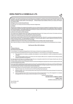contracts etc. Your Company had also plan to go for franchisee set up for management / vocational courses and for the implementation plan for tie up<br>with AICET or NAC-MIT or equal ant approved university Certify Courses 'E

#### **(iii) Segment-wise or product-wise performance**

During the year, your company has carried out trading in chemicals to mitigate losses.

#### **(iv) Outlook**

After facing lot of challenges, the management has decided to revive your company and sooner management is expecting re-listing of your company on BSE as all the compliances have been complied with and awaiting permission for additional equity by way of preferential or rights or as agreed by the concerned authorities – soon thereafter additional funds will help your company to start functioning in manufacturing sector as well in all respects. Your company is optimistic and hopeful of overall growth.

### **(v) Internal control systems and their adequacy**

The Company has an adequate internal control system commensurate with the size of the Company and the nature of its business and has not observed any continuing failure to correct major weaknesses in internal control system.

#### **(vi) Discussion on financial performance with respect to operational performance**

During the year company made Loss of Rs.5.45 lacs as compared to previous year's Profit of Rs.20.20 Lacs which was mainly due to write back of excess income-tax provision. The ongoing dispute with SICOM Ltd ˈhas been amicably settled by onetime settlement with SICOM Ltd and the<br>Company has already made the payment to SICOM Ltd accordingly.

#### **(vii) Material developments in Human Resources/Industrial Relations front, including number of people employed.**

After re-start and re-listing, your company will employ sizeable people to look after the various activities for all round development of your company.

#### **Chief Executive Officer (CEO) Certification**

#### **To,**

#### **The Board of Directors,**

#### **Dera Paints & Chemicals Limited**

I, the undersigned, in my capacity as Managing Director of the Company, to the best of my knowledge and belief certify that;

A) I have reviewed the Financial Statements for the Financial Year ended March 31, 2013 and based on my knowledge and belief state that:

- i) These statements do not contain any materially untrue statement or omit any material fact or contain any statements that might be misleading;
- ii) These statements together present a true and fair view of the Company's affairs and are in compliance with the existing accounting standards, applicable laws and regulations.

B) I further state that to the best of our knowledge and belief, there are no transactions entered into by the Company during the year, which are fraudulent, illegal or violative of the Company's code of conduct.

C) I hereby declare that all the members of the Board of Directors and the senior Management employees have confirmed compliance with the Code of Conduct as adopted by the Company.

D) I am responsible for establishing and maintaining internal controls and for evaluating the effectiveness of the same over the Financial Reporting of the Company and have disclosed to the Auditors and the Audit Committee, deficiencies in the design or operation of internal controls, if any, of which I<br>am aware and the steps I have taken or propose to take to rectify the

E) I have indicated, based on my most recent evaluation, wherever applicable, to the Auditors and Audit Committee:

- i) Significant changes, if any, in the internal control over the Financial Reporting during the year;
- ii) Significant changes, if any, in the accounting policies made during the year and that the same has been disclosed in the notes to the financial statements; and
- iii) Instances of significant fraud of which I have become aware and the involvement therein, if any, of the management or an employee having significant role in the Company's internal control system over Financial Reporting.

By order of the Board of Director

**FOR DERA PAINTS & CHEMICALS LIMITED**

**KUMAR V. SHAH**

CHAIRMAN & MANAGING DIRECTOR

Date: 30th May, 2013

Place: Mumbai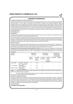### *CORPORATE GOVERNANCE.*

#### **Company's Philosophy on Code of Governance**

Dera Paints & Chemicals Limited has always focused on good Corporate Governance, which is a key driver of sustainable corporate growth. The core values of Company are commitment to excellence and customer satisfaction honesty, integrity, disclosure, accountability and maximizing long term value for Share- holder. Dera Paints & Chemicals Limited recognizes value and commitments policy and are committed to an ethical treatment of all employees, customers, shareholders, lenders, suppliers and the Government. Your company has been constantly devising measures to improve upon to adopt effective Corporate Governance by creating an environment based on professionalism, entrepreneurship and pursuit for excellence. Corporate Governance policies and practices in accordance with the provisions of Clause 49 of the Listing Agreement are;

#### **Board of Directors**

#### **Composition**

The Board of Dera Pants & Chemicals Limited consists of Three Directors, two are non-Executive. Amongst the Executive One is the Promoter Director and two are independent Directors.

The Promoter Director is a Executive Director and the number of independent Directors are two third of the total number of Directors. The Board consists of executive and independent Directors. Company, therefore meets with the requirements relating to the composition of the Board of Directors. All Executive & independent Directors with their diverse knowledge, experience and expertise provide valuable in the deliberations and decisions of the Board.

#### **Board Procedures**

During the financial year 2012-2013 the Board of Directors have met five times on the following dates : 14th May, 2012, 14th August, 2012, 3rd September, 2012, 15th November, 2012 and 14th February, 2013. The meetings were held as pre the mandatory requirements and the dates of the meetings were generally decided well in advance.

**Attendance Record & Directorships and Membership of Directors.** Table 1 gives the composition of the Board and the attendance record of all the Directors at the four Board meetings held during the financial year 2012-13, as well at the last Annual General Meeting as also the number of Directorships and Committee Membership held by them other **Companies** 

| Name of<br><b>Directors</b> |                                           | Attendance<br>Particulars |                                 |                        | Directorship<br>in companies                  | Membership/              | Chairmanship<br>in committees |
|-----------------------------|-------------------------------------------|---------------------------|---------------------------------|------------------------|-----------------------------------------------|--------------------------|-------------------------------|
|                             |                                           | Board<br>Meeting          | Last AGM<br>held on<br>27/09/12 | In Listed<br>Companies | In Unlisted<br>Public<br>Limited<br>Companies | Chairman                 | Member                        |
| Kumar Shah                  | Promoter - Executive<br>Non - Independent | 5                         | Yes                             |                        |                                               |                          |                               |
| H. A. Salunkhe              | Independent<br>Non - Executive            | 5                         | <b>Yes</b>                      |                        | ۰                                             | 1                        |                               |
| Hasmukh Patel               | Independent<br>Non - Executive            | 5                         | Yes                             | 1                      | ۰                                             | $\overline{\phantom{0}}$ | $\overline{\phantom{a}}$      |

**Notes** (1) Private Limited Companies, Foreign Companies and Committee under Section 25 of the Companies Act, 1956 are excluded for the above purpose

 (2) Only Audit Committee, Share-holders Grievance Committee and Remuneration are considered for the purpose of Committee positions as per Listing Agreement.

#### **Information supplied to the Board**

The Board of Dera Paints & Chemicals Limited is presented with all the relevant information on various vital matters affecting the working of the Company, as well as those that require deliberation at the highest level. Extensive information is provide on various critical items such as : (a) Production, Sales and Capital Expenditure Budget, (b) Saies and financial performance statics (c) Such transfer compliance (d) Quarterly financial results (e) Significant labour and human relation (f) statutory compliance reporting system and any other matters.

#### **Audit Committee:**

**Constitution and Composition**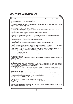The Audit Committee of the Company comprises of Shri Hasmukh Patel and H.A. Salunkhe, the Independent directors. All members of the Audit Committee have knowledge on financial matters and the Chairman of the Audit Committee is having accounting and financial management expertise.

#### **Terms of reference**

In compliance with Section 292A of the Companies Act, 1956 read with Clause 49 of the Listing Agreement, the terms of reference of Audit Committee are as under:

1. Oversee the Company's financial reporting process and the disclosures of its financial information to ensure that the financial statements are correct, sufficient and credible.

2. Recommending to the Board, the appointment, re- appointment and, if required, the replacement or removal of the Statutory Auditor and the fixation of Audit Fees.

3. Compliance with Listing and other legal requirements relating to financial statements.

4. Disclosures of any related party transactions

5. Reviewing with the management, the quarterly financial statements before submission to the Board for approval.

6. Reviewing with the management, performance of Statutory Auditors, adequacy of Internal Control systems and recommending improvements to the management.

7. Discussion with Auditor on any significant findings and follow-up thereon.

8. Carrying out any other function as is mentioned in the terms of reference of the Audit Committee.

The minutes of the Audit Committee Meetings are circulated to the Board, discussed and taken note of.

#### **Meetings and attendance**

The Audit Committee met five times during the Financial Year 2012-13; 14th May, 2012, 30th May, 2012, 3rd September, 2012, 15th November, 2012 and 15th February, 2013. The meetings were scheduled well in advance.

In addition to the members of the Audit Committee these meetings were attended by Statutory Auditors and those executives of the Company who were considered necessary for providing inputs to the Committee.

| Names of the Directors | No. of Meetings attended |
|------------------------|--------------------------|
| 1. Shri Hasmukh Patel  |                          |
| 2. Shri H.A Salunkhe   | 5                        |

#### **Remuneration Committee**

The Board has constituted Remuneration Committee comprising Shri Hasmukh Patel and H.A. Salunkhe, the Independent directors.

Meeting of this committee are held only when required.

Terms of Reference: The Remuneration Committee has been constituted to recommend/ review remuneration of the Managing Director

**Remuneration of Directors**a. The remuneration paid to the Whole-time Director is within the ceiling as per resolution approved by the shareholders. Details of the remuneration paid to the whole-time Director for the Financial Year ended 31st March, 2013 is given below: -Constitution and Composition

#### **Remuneration of Directors**

a. Remuneration of Rs. 90,000/- paid to the Promoter Director (CMD) of your company, including ail perquisite b. No Sitting Fees paid to the independent Non-Executive Directors for the financial year ended 31s March, 2013.

#### **Share Transfer Committee**

The company has constituted a Share Transfer Committee in compliance with the Clause 49 of the Listing Agreement. The Committee comprises of two Directors viz. Shri Kumar V Shah and Shri H.A.Salunkhe. The Committee looks into the matter of share-transfer, issue of duplicate certificates and other related matters.

During the financial year 2012-2013 the Committee had met on monthly basis depending on share transfer received by the Company.

The composition and the meetings attended by the members are as under:

Name of Director No. of meeting attended during the year.<br>
Shd Kumar V Shah 12 Shd Kumar V Shah

Shri.H.A.Salunkhe 12

Share transfers/transmissions etc. as approved by the Committee are notified to tile Board at regular intervals and are taken on record by the Board at their meetings.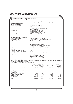| No Transfers/Transmission are pending as on 3tst March, 2013.<br><b>Communication to the Share - holders</b><br>Dera Paints & Chemicals Limited recognizes communication as a key element in the overall Corporate Governance<br>Framework. The company responds the share-holders queries regularly and no queries are pending.<br><b>Share-Holders Information</b><br>General Body Meetings:<br>For the period ended<br>Date, Time and Locations<br>31st March, 2012<br>27 September, 2012 at 9 15 a.m.<br>F111, Prime Mall, Irla, Vile-parle (west)<br>Mumbai - 400 054<br>29 September, 2011 at 9 15 a.m.<br>31st March, 2011<br>81, Yamuna Vihar, Linking Road,<br>Santacuz (West) Mumbai - 400 054<br>29 September, 2010 at 9 15 a.m.<br>31st March, 2010<br>81, Yamuna Vihar, Linking Road,<br>Santacuz (West) Mumbai - 400 054<br><b>General Shareholder's Information</b><br><b>Annual General Meeting</b><br>21st September, 2013 at 9 15 a.m.<br><b>Book Closure Date</b><br>13th September, 2013 till 14th September, 2013<br>The Stock Exchange, Mumbai<br><b>Listing on Stock Exchanges</b><br>Phiroze Jeejeebhoy Towers, Dalal Street, Mumbai - 400 001<br>The Stock Exchange, Ahmedabad<br>Kamdhenu Complex Opp. Sahajanand College,<br>Panjrapole, Ahmedabad-380015<br>Not applicable since dividend not declared<br>Dividend Payment Date:<br>Stock Code:<br>The Stock Exchange, Mumbai<br>23782<br>The Stock Exchange, Ahmedabad<br>13770<br>Market Price Data:<br>No rates are quoted during the Financial Year 2012-13<br>Registrar & Transfer Agents:<br>Adroit Corporate Services Ltd.<br>19/20, Jaferbhoy Industrial Estate<br>Makawana Road, Marol Naka,<br>Andheri (East), Mumbai-400059.<br><b>Distribution of Shareholding</b><br>Table 2 gives details about the pattern of Share-holdings among various categories as on 31st March. 2013, while table 3<br>gives the data according to size classes:-<br>Table 2: Distribution of shareholdings across categories<br>As on 31st March 2013<br>As on 31st March 2012<br>No. of Shares<br>No. of Shares<br>% to Total<br>% to Total<br>Capital.<br>Capital.<br>14.71<br>Promoters and persons acting in concert<br>847460<br>847460<br>14.71<br>13.40<br>771770<br>13.40<br>Directors and Relatives<br>771770<br>Foreign Institutional investors<br>LIC of India<br>Mutual funds<br>Nationalized and Other banks<br>1200<br>0.02<br>1200<br>0.02<br>2.15<br><b>Private Corporate Bodies</b><br>124000<br>124000<br>2.15<br>303900<br>5.28<br>303900<br>5.28<br>NRIs and OCBs<br>Others (Public)<br>3711740<br>64.44<br>3711740<br>64.44<br>5760070<br>Total<br>100.00<br>5760070<br>100.00 | <b>DERA PAINTS &amp; CHEMICALS LTD.</b> |  |  |  |  |  |
|-------------------------------------------------------------------------------------------------------------------------------------------------------------------------------------------------------------------------------------------------------------------------------------------------------------------------------------------------------------------------------------------------------------------------------------------------------------------------------------------------------------------------------------------------------------------------------------------------------------------------------------------------------------------------------------------------------------------------------------------------------------------------------------------------------------------------------------------------------------------------------------------------------------------------------------------------------------------------------------------------------------------------------------------------------------------------------------------------------------------------------------------------------------------------------------------------------------------------------------------------------------------------------------------------------------------------------------------------------------------------------------------------------------------------------------------------------------------------------------------------------------------------------------------------------------------------------------------------------------------------------------------------------------------------------------------------------------------------------------------------------------------------------------------------------------------------------------------------------------------------------------------------------------------------------------------------------------------------------------------------------------------------------------------------------------------------------------------------------------------------------------------------------------------------------------------------------------------------------------------------------------------------------------------------------------------------------------------------------------------------------------------------------------------------------------------------------------------------------------------------------------------------------------------------------------------------------------------------------------------------------------------------------------------------|-----------------------------------------|--|--|--|--|--|
|                                                                                                                                                                                                                                                                                                                                                                                                                                                                                                                                                                                                                                                                                                                                                                                                                                                                                                                                                                                                                                                                                                                                                                                                                                                                                                                                                                                                                                                                                                                                                                                                                                                                                                                                                                                                                                                                                                                                                                                                                                                                                                                                                                                                                                                                                                                                                                                                                                                                                                                                                                                                                                                                         |                                         |  |  |  |  |  |
|                                                                                                                                                                                                                                                                                                                                                                                                                                                                                                                                                                                                                                                                                                                                                                                                                                                                                                                                                                                                                                                                                                                                                                                                                                                                                                                                                                                                                                                                                                                                                                                                                                                                                                                                                                                                                                                                                                                                                                                                                                                                                                                                                                                                                                                                                                                                                                                                                                                                                                                                                                                                                                                                         |                                         |  |  |  |  |  |
|                                                                                                                                                                                                                                                                                                                                                                                                                                                                                                                                                                                                                                                                                                                                                                                                                                                                                                                                                                                                                                                                                                                                                                                                                                                                                                                                                                                                                                                                                                                                                                                                                                                                                                                                                                                                                                                                                                                                                                                                                                                                                                                                                                                                                                                                                                                                                                                                                                                                                                                                                                                                                                                                         |                                         |  |  |  |  |  |
|                                                                                                                                                                                                                                                                                                                                                                                                                                                                                                                                                                                                                                                                                                                                                                                                                                                                                                                                                                                                                                                                                                                                                                                                                                                                                                                                                                                                                                                                                                                                                                                                                                                                                                                                                                                                                                                                                                                                                                                                                                                                                                                                                                                                                                                                                                                                                                                                                                                                                                                                                                                                                                                                         |                                         |  |  |  |  |  |
|                                                                                                                                                                                                                                                                                                                                                                                                                                                                                                                                                                                                                                                                                                                                                                                                                                                                                                                                                                                                                                                                                                                                                                                                                                                                                                                                                                                                                                                                                                                                                                                                                                                                                                                                                                                                                                                                                                                                                                                                                                                                                                                                                                                                                                                                                                                                                                                                                                                                                                                                                                                                                                                                         |                                         |  |  |  |  |  |
|                                                                                                                                                                                                                                                                                                                                                                                                                                                                                                                                                                                                                                                                                                                                                                                                                                                                                                                                                                                                                                                                                                                                                                                                                                                                                                                                                                                                                                                                                                                                                                                                                                                                                                                                                                                                                                                                                                                                                                                                                                                                                                                                                                                                                                                                                                                                                                                                                                                                                                                                                                                                                                                                         |                                         |  |  |  |  |  |
|                                                                                                                                                                                                                                                                                                                                                                                                                                                                                                                                                                                                                                                                                                                                                                                                                                                                                                                                                                                                                                                                                                                                                                                                                                                                                                                                                                                                                                                                                                                                                                                                                                                                                                                                                                                                                                                                                                                                                                                                                                                                                                                                                                                                                                                                                                                                                                                                                                                                                                                                                                                                                                                                         |                                         |  |  |  |  |  |
|                                                                                                                                                                                                                                                                                                                                                                                                                                                                                                                                                                                                                                                                                                                                                                                                                                                                                                                                                                                                                                                                                                                                                                                                                                                                                                                                                                                                                                                                                                                                                                                                                                                                                                                                                                                                                                                                                                                                                                                                                                                                                                                                                                                                                                                                                                                                                                                                                                                                                                                                                                                                                                                                         |                                         |  |  |  |  |  |
|                                                                                                                                                                                                                                                                                                                                                                                                                                                                                                                                                                                                                                                                                                                                                                                                                                                                                                                                                                                                                                                                                                                                                                                                                                                                                                                                                                                                                                                                                                                                                                                                                                                                                                                                                                                                                                                                                                                                                                                                                                                                                                                                                                                                                                                                                                                                                                                                                                                                                                                                                                                                                                                                         |                                         |  |  |  |  |  |
|                                                                                                                                                                                                                                                                                                                                                                                                                                                                                                                                                                                                                                                                                                                                                                                                                                                                                                                                                                                                                                                                                                                                                                                                                                                                                                                                                                                                                                                                                                                                                                                                                                                                                                                                                                                                                                                                                                                                                                                                                                                                                                                                                                                                                                                                                                                                                                                                                                                                                                                                                                                                                                                                         |                                         |  |  |  |  |  |
|                                                                                                                                                                                                                                                                                                                                                                                                                                                                                                                                                                                                                                                                                                                                                                                                                                                                                                                                                                                                                                                                                                                                                                                                                                                                                                                                                                                                                                                                                                                                                                                                                                                                                                                                                                                                                                                                                                                                                                                                                                                                                                                                                                                                                                                                                                                                                                                                                                                                                                                                                                                                                                                                         |                                         |  |  |  |  |  |
|                                                                                                                                                                                                                                                                                                                                                                                                                                                                                                                                                                                                                                                                                                                                                                                                                                                                                                                                                                                                                                                                                                                                                                                                                                                                                                                                                                                                                                                                                                                                                                                                                                                                                                                                                                                                                                                                                                                                                                                                                                                                                                                                                                                                                                                                                                                                                                                                                                                                                                                                                                                                                                                                         |                                         |  |  |  |  |  |
|                                                                                                                                                                                                                                                                                                                                                                                                                                                                                                                                                                                                                                                                                                                                                                                                                                                                                                                                                                                                                                                                                                                                                                                                                                                                                                                                                                                                                                                                                                                                                                                                                                                                                                                                                                                                                                                                                                                                                                                                                                                                                                                                                                                                                                                                                                                                                                                                                                                                                                                                                                                                                                                                         |                                         |  |  |  |  |  |
|                                                                                                                                                                                                                                                                                                                                                                                                                                                                                                                                                                                                                                                                                                                                                                                                                                                                                                                                                                                                                                                                                                                                                                                                                                                                                                                                                                                                                                                                                                                                                                                                                                                                                                                                                                                                                                                                                                                                                                                                                                                                                                                                                                                                                                                                                                                                                                                                                                                                                                                                                                                                                                                                         |                                         |  |  |  |  |  |
|                                                                                                                                                                                                                                                                                                                                                                                                                                                                                                                                                                                                                                                                                                                                                                                                                                                                                                                                                                                                                                                                                                                                                                                                                                                                                                                                                                                                                                                                                                                                                                                                                                                                                                                                                                                                                                                                                                                                                                                                                                                                                                                                                                                                                                                                                                                                                                                                                                                                                                                                                                                                                                                                         |                                         |  |  |  |  |  |
|                                                                                                                                                                                                                                                                                                                                                                                                                                                                                                                                                                                                                                                                                                                                                                                                                                                                                                                                                                                                                                                                                                                                                                                                                                                                                                                                                                                                                                                                                                                                                                                                                                                                                                                                                                                                                                                                                                                                                                                                                                                                                                                                                                                                                                                                                                                                                                                                                                                                                                                                                                                                                                                                         |                                         |  |  |  |  |  |
|                                                                                                                                                                                                                                                                                                                                                                                                                                                                                                                                                                                                                                                                                                                                                                                                                                                                                                                                                                                                                                                                                                                                                                                                                                                                                                                                                                                                                                                                                                                                                                                                                                                                                                                                                                                                                                                                                                                                                                                                                                                                                                                                                                                                                                                                                                                                                                                                                                                                                                                                                                                                                                                                         |                                         |  |  |  |  |  |
|                                                                                                                                                                                                                                                                                                                                                                                                                                                                                                                                                                                                                                                                                                                                                                                                                                                                                                                                                                                                                                                                                                                                                                                                                                                                                                                                                                                                                                                                                                                                                                                                                                                                                                                                                                                                                                                                                                                                                                                                                                                                                                                                                                                                                                                                                                                                                                                                                                                                                                                                                                                                                                                                         |                                         |  |  |  |  |  |
|                                                                                                                                                                                                                                                                                                                                                                                                                                                                                                                                                                                                                                                                                                                                                                                                                                                                                                                                                                                                                                                                                                                                                                                                                                                                                                                                                                                                                                                                                                                                                                                                                                                                                                                                                                                                                                                                                                                                                                                                                                                                                                                                                                                                                                                                                                                                                                                                                                                                                                                                                                                                                                                                         |                                         |  |  |  |  |  |
|                                                                                                                                                                                                                                                                                                                                                                                                                                                                                                                                                                                                                                                                                                                                                                                                                                                                                                                                                                                                                                                                                                                                                                                                                                                                                                                                                                                                                                                                                                                                                                                                                                                                                                                                                                                                                                                                                                                                                                                                                                                                                                                                                                                                                                                                                                                                                                                                                                                                                                                                                                                                                                                                         |                                         |  |  |  |  |  |
|                                                                                                                                                                                                                                                                                                                                                                                                                                                                                                                                                                                                                                                                                                                                                                                                                                                                                                                                                                                                                                                                                                                                                                                                                                                                                                                                                                                                                                                                                                                                                                                                                                                                                                                                                                                                                                                                                                                                                                                                                                                                                                                                                                                                                                                                                                                                                                                                                                                                                                                                                                                                                                                                         |                                         |  |  |  |  |  |
|                                                                                                                                                                                                                                                                                                                                                                                                                                                                                                                                                                                                                                                                                                                                                                                                                                                                                                                                                                                                                                                                                                                                                                                                                                                                                                                                                                                                                                                                                                                                                                                                                                                                                                                                                                                                                                                                                                                                                                                                                                                                                                                                                                                                                                                                                                                                                                                                                                                                                                                                                                                                                                                                         |                                         |  |  |  |  |  |
|                                                                                                                                                                                                                                                                                                                                                                                                                                                                                                                                                                                                                                                                                                                                                                                                                                                                                                                                                                                                                                                                                                                                                                                                                                                                                                                                                                                                                                                                                                                                                                                                                                                                                                                                                                                                                                                                                                                                                                                                                                                                                                                                                                                                                                                                                                                                                                                                                                                                                                                                                                                                                                                                         |                                         |  |  |  |  |  |
|                                                                                                                                                                                                                                                                                                                                                                                                                                                                                                                                                                                                                                                                                                                                                                                                                                                                                                                                                                                                                                                                                                                                                                                                                                                                                                                                                                                                                                                                                                                                                                                                                                                                                                                                                                                                                                                                                                                                                                                                                                                                                                                                                                                                                                                                                                                                                                                                                                                                                                                                                                                                                                                                         |                                         |  |  |  |  |  |
|                                                                                                                                                                                                                                                                                                                                                                                                                                                                                                                                                                                                                                                                                                                                                                                                                                                                                                                                                                                                                                                                                                                                                                                                                                                                                                                                                                                                                                                                                                                                                                                                                                                                                                                                                                                                                                                                                                                                                                                                                                                                                                                                                                                                                                                                                                                                                                                                                                                                                                                                                                                                                                                                         |                                         |  |  |  |  |  |
|                                                                                                                                                                                                                                                                                                                                                                                                                                                                                                                                                                                                                                                                                                                                                                                                                                                                                                                                                                                                                                                                                                                                                                                                                                                                                                                                                                                                                                                                                                                                                                                                                                                                                                                                                                                                                                                                                                                                                                                                                                                                                                                                                                                                                                                                                                                                                                                                                                                                                                                                                                                                                                                                         |                                         |  |  |  |  |  |
|                                                                                                                                                                                                                                                                                                                                                                                                                                                                                                                                                                                                                                                                                                                                                                                                                                                                                                                                                                                                                                                                                                                                                                                                                                                                                                                                                                                                                                                                                                                                                                                                                                                                                                                                                                                                                                                                                                                                                                                                                                                                                                                                                                                                                                                                                                                                                                                                                                                                                                                                                                                                                                                                         |                                         |  |  |  |  |  |
|                                                                                                                                                                                                                                                                                                                                                                                                                                                                                                                                                                                                                                                                                                                                                                                                                                                                                                                                                                                                                                                                                                                                                                                                                                                                                                                                                                                                                                                                                                                                                                                                                                                                                                                                                                                                                                                                                                                                                                                                                                                                                                                                                                                                                                                                                                                                                                                                                                                                                                                                                                                                                                                                         |                                         |  |  |  |  |  |
|                                                                                                                                                                                                                                                                                                                                                                                                                                                                                                                                                                                                                                                                                                                                                                                                                                                                                                                                                                                                                                                                                                                                                                                                                                                                                                                                                                                                                                                                                                                                                                                                                                                                                                                                                                                                                                                                                                                                                                                                                                                                                                                                                                                                                                                                                                                                                                                                                                                                                                                                                                                                                                                                         |                                         |  |  |  |  |  |
|                                                                                                                                                                                                                                                                                                                                                                                                                                                                                                                                                                                                                                                                                                                                                                                                                                                                                                                                                                                                                                                                                                                                                                                                                                                                                                                                                                                                                                                                                                                                                                                                                                                                                                                                                                                                                                                                                                                                                                                                                                                                                                                                                                                                                                                                                                                                                                                                                                                                                                                                                                                                                                                                         |                                         |  |  |  |  |  |
|                                                                                                                                                                                                                                                                                                                                                                                                                                                                                                                                                                                                                                                                                                                                                                                                                                                                                                                                                                                                                                                                                                                                                                                                                                                                                                                                                                                                                                                                                                                                                                                                                                                                                                                                                                                                                                                                                                                                                                                                                                                                                                                                                                                                                                                                                                                                                                                                                                                                                                                                                                                                                                                                         |                                         |  |  |  |  |  |
|                                                                                                                                                                                                                                                                                                                                                                                                                                                                                                                                                                                                                                                                                                                                                                                                                                                                                                                                                                                                                                                                                                                                                                                                                                                                                                                                                                                                                                                                                                                                                                                                                                                                                                                                                                                                                                                                                                                                                                                                                                                                                                                                                                                                                                                                                                                                                                                                                                                                                                                                                                                                                                                                         |                                         |  |  |  |  |  |
|                                                                                                                                                                                                                                                                                                                                                                                                                                                                                                                                                                                                                                                                                                                                                                                                                                                                                                                                                                                                                                                                                                                                                                                                                                                                                                                                                                                                                                                                                                                                                                                                                                                                                                                                                                                                                                                                                                                                                                                                                                                                                                                                                                                                                                                                                                                                                                                                                                                                                                                                                                                                                                                                         |                                         |  |  |  |  |  |
|                                                                                                                                                                                                                                                                                                                                                                                                                                                                                                                                                                                                                                                                                                                                                                                                                                                                                                                                                                                                                                                                                                                                                                                                                                                                                                                                                                                                                                                                                                                                                                                                                                                                                                                                                                                                                                                                                                                                                                                                                                                                                                                                                                                                                                                                                                                                                                                                                                                                                                                                                                                                                                                                         |                                         |  |  |  |  |  |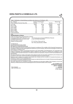| Table 3: Distribution el shareholdings according to size class as on 31st March., 2013                                                                                                                                                                                                                                                                                          |                                                                        |              |                                               |                                |
|---------------------------------------------------------------------------------------------------------------------------------------------------------------------------------------------------------------------------------------------------------------------------------------------------------------------------------------------------------------------------------|------------------------------------------------------------------------|--------------|-----------------------------------------------|--------------------------------|
| No. of Shares<br>Share Holding of Nominal Value (Rs)                                                                                                                                                                                                                                                                                                                            | Number of shareholders<br>Number                                       | $\%$         | Number                                        | Shares held<br>$\%$            |
| Up to 500                                                                                                                                                                                                                                                                                                                                                                       | 20292                                                                  | 96.39        | 2879440                                       | 49.99                          |
| 501 to 1000                                                                                                                                                                                                                                                                                                                                                                     | 518                                                                    | 2.46         | 426600                                        | 7.41                           |
| 1001 to 2000                                                                                                                                                                                                                                                                                                                                                                    | 128                                                                    | 0.61         | 191050                                        | 3.32                           |
| 2001 to 3000<br>3001 to 4000                                                                                                                                                                                                                                                                                                                                                    | 39                                                                     | 0.19         | 97400                                         | 1.69                           |
| 4001 to 5000                                                                                                                                                                                                                                                                                                                                                                    | 12<br>15                                                               | 0.06<br>0.07 | 44700<br>69700                                | 0.78<br>1.21                   |
| 5001 to 10,000                                                                                                                                                                                                                                                                                                                                                                  | 24                                                                     | 0.11         | 190200                                        | 3.30                           |
| 10,001 and above                                                                                                                                                                                                                                                                                                                                                                | 24                                                                     | 0.11         | 1860980                                       | 32.31                          |
| Total                                                                                                                                                                                                                                                                                                                                                                           |                                                                        |              |                                               | 100                            |
| <b>Dematerialization of Shares</b>                                                                                                                                                                                                                                                                                                                                              |                                                                        |              |                                               |                                |
| CDSL have approved for dematerialization of shares.                                                                                                                                                                                                                                                                                                                             |                                                                        |              |                                               |                                |
| Outstanding GDRs./ADRs,/Warrants or any<br>convertible instruments, conversions date<br>and likely impact on equity                                                                                                                                                                                                                                                             | or any Convertible instruments                                         |              | The Company has not issued GDRS/Adrs Warrants |                                |
| Address Correspondence                                                                                                                                                                                                                                                                                                                                                          | F111,1st Floor, Prime mall, Irla,<br>Vile- Parle (west), Mumbai 400056 |              |                                               |                                |
| The Members of                                                                                                                                                                                                                                                                                                                                                                  |                                                                        |              |                                               |                                |
| <b>Dera Paints &amp; Chemicals Limited</b>                                                                                                                                                                                                                                                                                                                                      |                                                                        |              |                                               |                                |
| Re: Report on Corporate Governance                                                                                                                                                                                                                                                                                                                                              |                                                                        |              |                                               |                                |
| We have reviewed be records concerning the Company's compliance of the condition of the Corporate Governance as<br>stipulated In Clause 49 of the Listing Agreement entered into, by the Company; with the Stock Exchanges of India for the<br>year ended on 31st March, 2013                                                                                                   |                                                                        |              |                                               |                                |
| The compliance of condition of Corporate Governance is the responsibility of the Management. Our examination was<br>limited to procedures and implementations thereof, adopted by the Company for ensuring the compliance of the<br>conditions of the Corporate Governance. it is neither an audit nor an expression, of opinion on the Financial Statements of<br>the Company. |                                                                        |              |                                               |                                |
| We have conducted our review on the basis of the relevant records and documents maintained by the Company and<br>furnished to us for review, and the information and explanations given to us by the Company.                                                                                                                                                                   |                                                                        |              |                                               |                                |
| Based on such a review, in our opinion, the Company has complied with the Condition of Corporate Governance, as<br>stipulated in Clause 49 of the Listing Agreement.<br>On the basis of the records maintained by the Company we state that there are no Investor Grievances pending against                                                                                    |                                                                        |              |                                               |                                |
| the Company for a period exceeding one month.<br>We further state that such compliance is neither an assurance as to the future viability of the Company, nor as to the                                                                                                                                                                                                         |                                                                        |              |                                               |                                |
| efficiency or effectiveness with which the Management has conducted the affairs of the Company.                                                                                                                                                                                                                                                                                 |                                                                        |              |                                               | For C.K. PATIL & CO.           |
|                                                                                                                                                                                                                                                                                                                                                                                 |                                                                        |              |                                               | <b>Chartered Accountants</b>   |
|                                                                                                                                                                                                                                                                                                                                                                                 |                                                                        |              |                                               | (FR No. 107803W)               |
| Place: Mumbai<br>Date: 30th May, 2013                                                                                                                                                                                                                                                                                                                                           |                                                                        |              |                                               | C.K.Patil<br><b>PROPRIETOR</b> |
|                                                                                                                                                                                                                                                                                                                                                                                 |                                                                        |              |                                               | M. No. 033243                  |
|                                                                                                                                                                                                                                                                                                                                                                                 |                                                                        |              |                                               |                                |
|                                                                                                                                                                                                                                                                                                                                                                                 |                                                                        |              |                                               |                                |
|                                                                                                                                                                                                                                                                                                                                                                                 |                                                                        |              |                                               |                                |
|                                                                                                                                                                                                                                                                                                                                                                                 |                                                                        |              |                                               |                                |
|                                                                                                                                                                                                                                                                                                                                                                                 |                                                                        |              |                                               |                                |
|                                                                                                                                                                                                                                                                                                                                                                                 |                                                                        |              |                                               |                                |
|                                                                                                                                                                                                                                                                                                                                                                                 |                                                                        |              |                                               |                                |
|                                                                                                                                                                                                                                                                                                                                                                                 |                                                                        |              |                                               |                                |
|                                                                                                                                                                                                                                                                                                                                                                                 |                                                                        |              |                                               |                                |
|                                                                                                                                                                                                                                                                                                                                                                                 |                                                                        |              |                                               |                                |
|                                                                                                                                                                                                                                                                                                                                                                                 |                                                                        |              |                                               |                                |
|                                                                                                                                                                                                                                                                                                                                                                                 |                                                                        |              |                                               |                                |

 $\frac{2}{3}$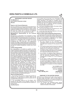## **INDEPENDENT AUDITORS' REPORT**

**The Members of Dera Paints & Chemicals Limited Mumbai**

### **Report on the Financial Statements**

We have audited the accompanying financial statements of Dera Paints & Chemicals Limited ("the Company"), which comprise the Balance Sheet as at March 31, 2013, and the Statement of Profit and Loss and Cash Flow Statement for the year then ended, and a summary of significant accounting policies and other explanatory information.

#### **Management's Responsibility for the Financial Statements**

Management is responsible for the preparation of these financial statements that give a true and fair view of the financial position, financial performance and cash flows of the Company in accordance with the Accounting Standards referred to in sub-section (3C) of section 211 of the Companies Act, 1956 ("the Act"). This responsibility includes the design, implementation and maintenance of internal control relevant to the preparation and presentation of the financial statements that give a true and fair view and are free from material misstatement, whether due to fraud or error.

#### **Auditor's Responsibility**

Our responsibility is to express an opinion on these financial statements based on our audit. We conducted our audit in accordance with the Standards on Auditing issued by the Institute of Chartered Accountants of India. Those Standards require that we comply with ethical requirements and plan and perform the audit to obtain reasonable assurance about whether the financial statements are free from material misstatement. An audit involves performing procedures to obtain audit evidence about the amounts and disclosures in the financial statements. The procedures selected depend on the auditor's judgment, including the assessment of the risks of material misstatement of the financial statements, whether due to fraud or error. In making those risk assessments, the auditor considers internal control relevant to the Company's preparation and fair presentation of the financial statements in order to design audit procedures that are appropriate in the circumstances. An audit also includes evaluating the appropriateness of accounting policies used and the reasonableness of the accounting estimates made by management, as well as evaluating the overall presentation of the financial statements. We believe that the audit evidence we have obtained is sufficient and appropriate to provide a basis for our qualified audit opinion.

#### **Basis for Qualified Opinion**

1. The Company does not have a whole time secretary as required by the provisions of section 383-A of the Companies Act, 1956 and hence has not complied with the provisions of the said section.

2. The accumulated losses as on 31st March. 2013 exceeds the Net Worth of the Company; however, the Accounts are prepared on the basis that the Company is a going concern.

#### **Qualified Opinion**

In our opinion and to the best of our information and according to the explanations given to us, except for the matters described in the Basis for Qualified Opinion paragraph, the financial statements give the information required by the Act in the manner so required and give a true and fair view in conformity with the accounting principles generally accepted in India:

In the case of the Balance Sheet, of the state of affairs of the Company as at March 31, 2013;

(b) In the case of the Statement of Profit and Loss , of the Loss for the year ended on that date; and

(c) In the case of the Cash Flow Statement, of the cash flows for the year ended on that date.

## **Report on Other Legal and Regulatory Requirements**

1. As required by the Companies (Auditor's Report) Order, 2003 ("the Order") issued by the Central Government of India in terms of sub-section (4A)of section 227 of the Act, we give in the Annexure a statement on the matters specified in paragraphs 4 and 5 of the Order.

2. As required by section 227(3) of the Act, we report that:

- a. We have obtained all the information and explanations which to the best of our knowledge and belief were necessary for the purpose of our audit;
- b. In our opinion proper books of account as required by law have been kept by the Company so far as appears from our examination of those books;
- c. The Balance Sheet, Statement of Profit and Loss, and Cash Flow Statement dealt with by this Report are in agreement with the books of account ;
- d. In our opinion, the Balance Sheet, Statement of Profit and Loss, and Cash Flow Statement comply with the Accounting Standards referred to in subsection(3C) of section 211 of the Companies Act, 1956;
- e. On the basis of written representations received from the directors as on March 31, 2013, and taken on record by the Board of Directors, none of the directors is disqualified as on March 31, 2013, from being appointed as a director in terms of clause (g) of sub-section (1) of section 274 of the Companies Act, 1956.

**For C.K.PATIL & CO** Chartered Accountants **(F. R. No. ) 107803W** Place: Mumbai C.K.Patil<br>Date: 30th May, 2013 **PROPRIETOR** M. No. 033243

## **ANNEXURE TO THE AUDITORS' REPORT**

**Date: 30th May, 2013** 

(Referred to in our Report of even date on the accounts for the year ended 31st March, 2013 of Dera Paints & Chemicals Limited. Reported on the basis of verification of records of the Company and as per the information and explanations given by the Company.)

(i) (a) The Company has maintained proper records showing full particulars, including quantitative details and situation of fixed assets.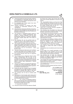- (b) These fixed assets have been physically verified by the management at reasonable intervals and we are informed that no material discrepancies were noticed on such verification.
- (c) No substantial part of fixed assets have been disposed off during the year.
- (ii) (a) Physical verification of inventory has been conducted at reasonable intervals by the management.
	- (b) The procedures of physical verification of inventory followed by the management are reasonable and adequate in relation to the size of the Company and the nature of its business.
	- (c) The Company is maintaining proper records of inventory and no material discrepancies were noticed on physical verification and the minor discrepancies observed on physical verification have been properly dealt with in the books of account.
- (iii) (a) The Company has not any granted loans to companies, firms or other parties covered in the register maintained under section 301 of the Act.
	- (b) The Company has taken unsecured loans from a director and a relative of the director covered in the register maintained under section 301 of the Act. The number of parties are 2 and the amounts<br>outstanding as on 31.03.2013 were outstanding as on  $31.03.2013$ Rs.49,31,027/-.
	- (c) The rate of interest and other terms and conditions of these loans taken by the Company, are prima facie not prejudicial to the interest of the Company.
	- (d) No principal amounts were due for repayment during the year.
	- (iv) The Company has an adequate internal control system commensurate with the size of the Company and the nature of its business, for the purchase of inventory, fixed assets and for the sale of goods and we have not observed any continuing failure to correct major weaknesses in internal control system.
	- (v) There are no contracts or arrangements referred to in Section 301 of the Companies Act, 1956 which are required to be entered in the register required to be maintained under that Section.
	- (vi) During the year the Company has not accepted any deposits from the public as defined under the provisions of sections 58A, 58AA or any other relevant provisions of the Companies Act, 1956.
	- (vii) The Company did not have an internal audit system.
	- (viii) Maintenance of cost records under clause (d) of sub-section (1) of section 209 of the Act u/s 209 has not been prescribed by the Central Government for any of the activity of the Company.
	- (ix) (a) The arrears of outstanding statutory dues as at the last day of the current financial year for a period of more than six months from the date they became payable were as under: A. Excise Duty Rs.429206/-
	- (b) There are no dues of Income tax/ Sales tax /Wealth

tax/ Service tax/ Custom duty/ Excise duty/ cess which have not been deposited on account of any dispute.

- (x) The accumulated losses as at the end of the current financial year exceeds its entire net worth and the Company has incurred cash losses during the current financial year as well as in the immediately preceding financial year.
- (xi) There are no over-dues amounts repayable to financial institution or banks.
- (xii) The Company has not granted any loans and advances on the basis of security by way of pledge of shares, debentures and other securities.
- (xiii) The Company is not a chit fund company or a nidhi/ mutual benefit fund/societies and hence the question of our reporting on the provisions of Clause 4 (xiii) of the Companies (Auditor's Report) Order 2003 does not arise.
- (xiv) The Company is not dealing or trading in shares, securities, debentures and other investments, and hence the question of our reporting on the provisions of Clause 4 (xiv) of the Companies (Auditor's Report) Order 2003 does not arise.
- (xv) The Company has not given any guarantee for loans taken by others from bank or financial institutions.
- (xvi) The Company has not availed any term loan during the year.
- (xvii) On the basis of an overall examination of the Balance Sheet of the Company, we are of the opinion that the funds raised on short-term basis have not been used for long term investment.
- (xviii) The Company has not made any preferential allotment of shares to parties and companies covered in the Register maintained under section 301 of the Companies Act, 1956.
- (xix) The Company has not issued any debentures and hence question of creation of security or charge in respect of the same does not arise.
- (xx) The Company has not raised any money by public issue during the year.
- (xxi) No fraud on or by the Company has been noticed or reported during the year.

**For C.K.PATIL & CO** Chartered Accountants

**(F.R. No. ) 107803W**

**Place: Mumbai C.K.Patil Date: 30th May, 2013** 

M. No. 033243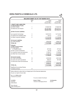|                                                                                                               |                | <b>BALANCE SHEET AS AT 31ST MARCH 2013</b> |                |                     |
|---------------------------------------------------------------------------------------------------------------|----------------|--------------------------------------------|----------------|---------------------|
|                                                                                                               | Note           |                                            | As at          | As at               |
|                                                                                                               | No.            |                                            | 31.03.2013     | 31.03.2012          |
| <b>I. EQUITY AND LIABILITIES</b>                                                                              |                |                                            | Amount (Rs.)   | Amount (Rs.)        |
| (1) Shareholder's Funds                                                                                       |                |                                            |                |                     |
| (a) Share Capital                                                                                             | 1              |                                            | 57,600,700     | 57,600,700          |
| (b) Reserves and Surplus                                                                                      | $\overline{2}$ |                                            | (87, 523, 480) | (85, 579, 017)      |
|                                                                                                               |                |                                            | (29, 922, 780) | (27, 978, 317)      |
| (2) Non-Current Liabilities                                                                                   |                |                                            |                |                     |
| (a) Long-term borrowings                                                                                      | 3              |                                            | 16,972,574     | 12,712,574          |
| (b) Deferred tax liabilities (Net)                                                                            | 4              |                                            | 36,412         | 31,776              |
| (c) Other Long term liabilities                                                                               | 5              |                                            | 27,519,438     | 27,745,082          |
|                                                                                                               |                |                                            | 44,528,424     | 40,489,432          |
| (3) Current Liabilities                                                                                       |                |                                            |                |                     |
| (a) Trade payables                                                                                            |                |                                            | 2,502,250      | 3,836,772           |
| <b>TOTAL Rs</b>                                                                                               |                |                                            | 17,107,894     | 16,347,887          |
| <b>II.Assets</b>                                                                                              |                |                                            |                |                     |
| (1) Non-current assets                                                                                        | 6              |                                            |                |                     |
| (a) Fixed assets<br>(i) Tangible assets                                                                       |                |                                            | 427,034        | 477,421             |
| (b) Non-current investments                                                                                   | 7              |                                            | 24,100         | 24,100              |
| (c) Long term loans and advances                                                                              | 8              |                                            | 7,159,411      | 7,155,663           |
| (d) Other Non Current assets                                                                                  | 9              |                                            | 4,189,108      | 4,187,908           |
|                                                                                                               |                |                                            | 11,799,653     | 11,845,092          |
| (2) Current assets                                                                                            |                |                                            |                |                     |
| (a) Trade receivables                                                                                         | 10             |                                            | 2,525,000      | 4,001,200           |
| (b) Cash and cash equivalents                                                                                 | 11             |                                            | 558,241        | 501,595             |
| (c) Short-term loans and advances                                                                             | 12             |                                            | 2,225,000      | 0                   |
|                                                                                                               |                |                                            | 5,308,241      | 4,502,795           |
| <b>TOTAL Rs.</b>                                                                                              |                |                                            | 17,107,894     | 16,347,887          |
| <b>Significant Accounting Policies</b>                                                                        |                |                                            |                |                     |
| & Additional Notes                                                                                            | 17             |                                            |                |                     |
| Notes referred to above farm an integral part of the financial statements,<br>As per our report of even date. |                |                                            |                |                     |
| For C.K. PATIL & CO.                                                                                          |                |                                            |                |                     |
| <b>Chartered Accountants</b>                                                                                  |                |                                            |                |                     |
|                                                                                                               |                | For and on behalf of the Board             |                |                     |
| <b>C.K.PATIL</b>                                                                                              |                | Kumar V. Shah                              |                | <b>H.A.Salunkhe</b> |
| Proprietor                                                                                                    |                | Chairman & Managing Director               | Director       |                     |
| M.No:033243                                                                                                   |                |                                            |                |                     |
| Place: Mumbai                                                                                                 |                |                                            |                |                     |
| Dated: 30th May 2013                                                                                          |                |                                            |                |                     |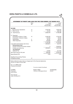|                                                                                                               | <b>Note</b> |                                |                            | As at    | As at                      |
|---------------------------------------------------------------------------------------------------------------|-------------|--------------------------------|----------------------------|----------|----------------------------|
|                                                                                                               | No.         |                                | 31.03.2013<br>Amount (Rs.) |          | 31.03.2012<br>Amount (Rs.) |
| <b>INCOME:</b>                                                                                                |             |                                |                            |          |                            |
| I. Revenue from Operations                                                                                    | 13          |                                | 2,525,000                  |          | 3,900,200                  |
| II. Other Income                                                                                              | 14          |                                | 37,479                     |          | 265,189                    |
| III. Total Revenue                                                                                            |             |                                | 2,562,479                  |          | 4,165,389                  |
| IV. Expenses                                                                                                  |             |                                |                            |          |                            |
| Purchases of Stock in Trade                                                                                   | 15          |                                | 2,448,250                  |          | 3,793,300                  |
| Employee's / Director's Salary                                                                                |             |                                | 125,000                    |          | 90,000                     |
| Depreciation<br><b>Other Expenses</b>                                                                         | 6<br>16     |                                | 50,387                     |          | 49,579                     |
|                                                                                                               |             |                                | 478,669                    |          | 264,523                    |
|                                                                                                               |             |                                | 3,102,306                  |          | 4,197,402                  |
| Loss before Extraordinary item & tax<br><b>Extraordinary item</b>                                             |             |                                | (539, 827)                 |          | (32,013)                   |
| Excess income tax provision w/back                                                                            |             |                                |                            | 0        | 2,083,581                  |
| Profit/(Loss) before tax<br><b>Tax Expenses</b>                                                               |             |                                | (539, 827)                 |          | 2,051,568                  |
| Deferred Tax                                                                                                  |             |                                | (4,636)                    |          | (31, 776)                  |
| Net Profit (Loss) for the year                                                                                |             |                                | $-544,463$                 |          | 2,019,792                  |
| <b>Basic/Diluted EPS</b>                                                                                      |             |                                |                            | $-0.09$  | 0.35                       |
| <b>Significant Accounting Policies</b>                                                                        |             |                                |                            |          |                            |
| & Additional Notes                                                                                            | 17          |                                |                            |          |                            |
| Notes referred to above farm an integral part of the financial statements,<br>As per our report of even date. |             |                                |                            |          |                            |
| For C.K. PATIL & CO.                                                                                          |             |                                |                            |          |                            |
| <b>Chartered Accountants</b>                                                                                  |             | For and on behalf of the Board |                            |          |                            |
| <b>C.K.PATIL</b>                                                                                              |             | Kumar V. Shah                  |                            |          | <b>H.A.Salunkhe</b>        |
| Proprieotor                                                                                                   |             | Chairman & Managing Director   |                            | Director |                            |
| M.No:033243                                                                                                   |             |                                |                            |          |                            |
| Place: Mumbai                                                                                                 |             |                                |                            |          |                            |
| Dated: 30th May 2013                                                                                          |             |                                |                            |          |                            |
|                                                                                                               |             |                                |                            |          |                            |
|                                                                                                               |             |                                |                            |          |                            |
|                                                                                                               |             |                                |                            |          |                            |
|                                                                                                               |             |                                |                            |          |                            |
|                                                                                                               |             |                                |                            |          |                            |
|                                                                                                               |             |                                |                            |          |                            |
|                                                                                                               |             |                                |                            |          |                            |
|                                                                                                               |             |                                |                            |          |                            |

爱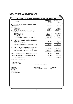| <b>CASH FLOW STATEMENT FOR THE YEAR ENDED 31ST MARCH, 2013</b> |                                |                                |                          |
|----------------------------------------------------------------|--------------------------------|--------------------------------|--------------------------|
| Particulars                                                    |                                | <b>Current Year</b><br>2012-13 | Previous Year<br>2011-12 |
|                                                                |                                | <b>Rupees</b>                  | <b>Rupees</b>            |
| <b>CASH FLOW FROM OPERATING ACTIVITIES</b><br>A                |                                |                                |                          |
| Net Profit Before Tax                                          |                                | (539, 827)                     | 2,051,568                |
| Adjusted for:<br>Depreciation                                  |                                | 50,387                         | 49,579                   |
| Interest Income                                                |                                | (37, 479)                      | (93, 205)                |
| Operating Profit before Working Capital Changes                |                                | (526, 919)                     | (2,007,942)              |
| Adjusted for:                                                  |                                |                                |                          |
| <b>Trade Receivables</b>                                       |                                | 1,475,000                      | (4,201,200)              |
| Loans & Advances                                               |                                | (2,228,748)                    | 1,610,311                |
| <b>Trade Payables</b>                                          |                                | (1,560,166)                    | 1,354,704                |
| Cash generated from/(used in) Operations                       |                                | (2,840,833)                    | 771,757                  |
| в<br><b>CASH FLOW FROM INVESTING ACTIVITIES</b>                |                                |                                |                          |
| Interest Income                                                |                                | 37,479                         | 93,205                   |
| Fixed Assets purchased                                         |                                |                                | (17,000)                 |
| Cash generated from/(used in) Investing Activity               |                                | 37,479                         | 76,205                   |
|                                                                |                                |                                |                          |
| $\mathbf{C}$<br><b>CASH FLOW FROM FINANCING ACTIVITIES</b>     |                                |                                |                          |
| Acceptance/(Repayment) of Borrowings                           |                                | 2,860,000                      | (1, 150, 000)            |
| Cash generated from/(used in) Financing Activity               |                                | 2,860,000                      | (1, 150, 000)            |
|                                                                |                                |                                |                          |
| Net Increase/(Decrease) in Cash & Cash equivalents             |                                | 56,646                         | (302, 038)               |
| Cash & Cash equivalents at beginning of the year               |                                | 501,595                        | 803,633                  |
| Cash & Cash equivalents at end of the year                     |                                | 558,241                        | 501,595                  |
|                                                                |                                |                                |                          |
| As per our report of even date.                                |                                |                                |                          |
| For C.K. PATIL & CO.                                           |                                |                                |                          |
| <b>Chartered Accountants</b>                                   | For and on behalf of the Board |                                |                          |
|                                                                |                                |                                |                          |
| <b>C.K.PATIL</b>                                               | Kumar V. Shah                  |                                | <b>H.A.Salunkhe</b>      |
| <b>PROPRITOR</b>                                               | Chairman & Managing Director   | Director                       |                          |
| M.No:033243                                                    |                                |                                |                          |
| Place: Mumbai<br>Dated: 30th May 2013                          |                                |                                |                          |
|                                                                |                                |                                |                          |
|                                                                |                                |                                |                          |
|                                                                |                                |                                |                          |
|                                                                |                                |                                |                          |
|                                                                |                                |                                |                          |
|                                                                |                                |                                |                          |
|                                                                |                                |                                |                          |
|                                                                |                                |                                |                          |
|                                                                |                                |                                |                          |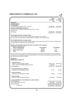|                                                                                                                                                                                                                                                       |                     | <b>AS AT</b><br>31.03.2013<br>Rs. | AS A<br>31.03.2012<br>Rs. |
|-------------------------------------------------------------------------------------------------------------------------------------------------------------------------------------------------------------------------------------------------------|---------------------|-----------------------------------|---------------------------|
| <b>NOTE NO. 1</b>                                                                                                                                                                                                                                     |                     |                                   |                           |
| <b>SHARE CAPITAL</b>                                                                                                                                                                                                                                  |                     |                                   |                           |
| <b>AUTHORISED</b>                                                                                                                                                                                                                                     |                     |                                   |                           |
| 70,00,000 Equity, Shares of Rs. 10/- each                                                                                                                                                                                                             |                     | 70,000,000                        | 70,000,000                |
| <b>ISSUED SUBSCRIBED &amp; PAID UP</b><br>57,60,070 (P.Y. 57,60,070) Equity Shares of Rs.10/- each                                                                                                                                                    |                     |                                   |                           |
| fully paid up.                                                                                                                                                                                                                                        |                     |                                   |                           |
| <b>TOTAL Rs.</b>                                                                                                                                                                                                                                      |                     | 57,600,700                        | 57,600,700                |
| Terms/rights attached to equity shares<br>The company has only one class of equity shares having a face value of<br>Rs.10 per share. Each holder of equity shares is entitled to one vote per share.                                                  |                     |                                   |                           |
| Terms/rights attached to equity shares<br>The company has only one class of equity shares having a face value of Rs.10 per share. Each holder<br>of equity shares is entitled to one vote per share.                                                  |                     |                                   |                           |
|                                                                                                                                                                                                                                                       |                     |                                   |                           |
| Details of shareholder holding more than 5% shares in the company                                                                                                                                                                                     |                     |                                   |                           |
| (For 2012-13 and 2011-12)<br>Name of Shareholder                                                                                                                                                                                                      | <b>No of Shares</b> |                                   | % of Holding              |
| Kumar Vasantlal Shah<br>1                                                                                                                                                                                                                             | 847360              |                                   | 14.71                     |
| $\overline{2}$<br>Deepa Kumar Shah                                                                                                                                                                                                                    | 562710              |                                   | 9.77                      |
| <b>Total</b>                                                                                                                                                                                                                                          | 1410070             |                                   | 24.48                     |
| As per records of the company, including its register of shareholders/members and other declarations<br>received from shareholders regarding beneficial interest, the above shareholding represents both legal<br>and beneficial ownership of shares. |                     |                                   |                           |
| <b>NOTE NO. 2</b><br><b>RESERVES &amp; SURPLUS</b>                                                                                                                                                                                                    |                     |                                   |                           |
| 1. Capital Reserve                                                                                                                                                                                                                                    |                     |                                   |                           |
| Balance as per last BalanceSheet                                                                                                                                                                                                                      |                     | 39,801,754                        | 39,801,754                |
| Less: Loan from SICOM w/back reversed                                                                                                                                                                                                                 |                     | 1,400,000                         | 0                         |
| <b>Closing Balance</b>                                                                                                                                                                                                                                |                     | 38,401,754                        | 39,801,754                |
| 2. Investment Allowance Reserve                                                                                                                                                                                                                       |                     |                                   |                           |
| Balance as per last Balance Sheet                                                                                                                                                                                                                     |                     | 31.444                            | 31,444                    |
| 3. General Reserve                                                                                                                                                                                                                                    |                     |                                   |                           |
| Balance as per last Balance Sheet                                                                                                                                                                                                                     |                     | 45,000                            | 45,000                    |
| 4. State Subsidy.<br>Balance as per last Balance Sheet                                                                                                                                                                                                |                     | 3,000,000                         | 3,000,000                 |
|                                                                                                                                                                                                                                                       |                     |                                   |                           |
|                                                                                                                                                                                                                                                       |                     |                                   |                           |
|                                                                                                                                                                                                                                                       |                     | (128, 457, 215)(130, 477, 007)    |                           |
|                                                                                                                                                                                                                                                       |                     | (544, 463)                        | 2,019,792                 |
| 5. Surplus/(Deficit) in the statement of profit and loss<br>Opening Balance<br>Add: Profit/(loss) for the year<br><b>Closing Balance</b>                                                                                                              |                     | (129,001,678)(128,457,215)        |                           |
| <b>TOTAL Rs.</b>                                                                                                                                                                                                                                      |                     | (87,523,480) (85,579,017)         |                           |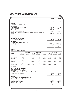|                                                                                                                                                                                                                                                                                                                                                                                                           |                     |                    |                     |                     |                     | 31.03.2013          | <b>AS AT</b><br>Rs. | AS A1<br>31.03.2012<br>Rs. |
|-----------------------------------------------------------------------------------------------------------------------------------------------------------------------------------------------------------------------------------------------------------------------------------------------------------------------------------------------------------------------------------------------------------|---------------------|--------------------|---------------------|---------------------|---------------------|---------------------|---------------------|----------------------------|
| <b>NOTE NO. 3</b><br><b>LONG TERM BORROWINGS</b>                                                                                                                                                                                                                                                                                                                                                          |                     |                    |                     |                     |                     |                     |                     |                            |
| (Unsecured)<br>From Director and his Relative<br>From Company<br>From SICOM                                                                                                                                                                                                                                                                                                                               |                     |                    |                     |                     |                     | 4,931,027           | 495,702<br>700.000  | 1,371,027<br>495,702       |
| Sales Tax Defferal Liability<br>(Above loans payable after 2 years on demand. Rate of interest NIL)                                                                                                                                                                                                                                                                                                       |                     |                    |                     |                     |                     | 10,845,845          |                     | 10,845,845                 |
| <b>TOTAL Rs.</b>                                                                                                                                                                                                                                                                                                                                                                                          |                     |                    |                     |                     |                     | 16,972,574          |                     | 12,712,574                 |
| <b>NOTE NO. 4</b><br><b>DEFERRED TAX LIABILITY</b><br><b>On Account of Depreciation</b>                                                                                                                                                                                                                                                                                                                   |                     |                    |                     |                     |                     |                     | 36,412              | 31,776                     |
| <b>NOTE NO. 5</b><br><b>OTHER LONG TERM LIABILITIES</b><br><b>Trade Payables</b><br>Duties & Taxes                                                                                                                                                                                                                                                                                                        |                     |                    |                     |                     |                     | 27,090,232          | 429,206             | 27,315,876<br>429,206      |
|                                                                                                                                                                                                                                                                                                                                                                                                           |                     |                    |                     |                     |                     | 27,519,438          |                     | 27,745,082                 |
| <b>NOTE NO. 6</b>                                                                                                                                                                                                                                                                                                                                                                                         |                     |                    |                     |                     |                     |                     |                     |                            |
| FIXED ASSETS AS AT 31ST MARCH, 2013                                                                                                                                                                                                                                                                                                                                                                       |                     | <b>GROSS BLOCK</b> |                     | <b>DEPRECIATION</b> |                     |                     | <b>NET BLOCK</b>    |                            |
| <b>ASSETS</b>                                                                                                                                                                                                                                                                                                                                                                                             | AS ON<br>31.03.2012 | <b>ADDITIONS</b>   | AS ON<br>31.03.2013 | AS ON<br>31.03.2012 | <b>FOR THE YEAR</b> | AS ON<br>31.03.2013 | AS ON<br>31.03.2013 | AS ON<br>31.03.2012        |
| OFFICE EQUIPMENT                                                                                                                                                                                                                                                                                                                                                                                          | 87,000              |                    | 87,000              | 3,325               | 4.133               | 7,458               | 79,542              | 83,675                     |
| <b>COMPUTER</b>                                                                                                                                                                                                                                                                                                                                                                                           | 90,000              |                    | 90,000              | 14,589              | 14,589              | 29,178              | 60,822              | 75,411                     |
| <b>FURNITURE &amp; FIXTURE</b>                                                                                                                                                                                                                                                                                                                                                                            | 50,000              |                    | 50,000              | 3,165               | 3,165               | 6,330               | 43,670              | 46,835                     |
| <b>MOTORCAR</b>                                                                                                                                                                                                                                                                                                                                                                                           | 3,00,000            |                    | 3,00,000            | 28,500              | 28,500              | 57,000              | 243,000             | 271,500                    |
|                                                                                                                                                                                                                                                                                                                                                                                                           |                     | $\mathbf{0}$       |                     |                     |                     |                     |                     |                            |
|                                                                                                                                                                                                                                                                                                                                                                                                           | 527,000             |                    | 527,000             | 49,579              | 50,387              | 99,966              | 427,034             | 477,421                    |
|                                                                                                                                                                                                                                                                                                                                                                                                           | 510,000             | 17,000             | 527,000             | ÷.                  | 49,579              | 49,579              | 477,421             |                            |
|                                                                                                                                                                                                                                                                                                                                                                                                           |                     |                    |                     |                     |                     |                     | 24,100<br>24,100    |                            |
|                                                                                                                                                                                                                                                                                                                                                                                                           |                     |                    |                     |                     |                     |                     |                     |                            |
|                                                                                                                                                                                                                                                                                                                                                                                                           |                     |                    |                     |                     |                     |                     | 50,000              | 24,100<br>24,100<br>50,000 |
| <b>TOTAL</b><br>PREVIOUS YEAR<br><b>NOTE NO. 7</b><br><b>NON CURRENT INVESTMENTS</b><br>NON TRADE-UNQUOTED<br>Investment in Equity Instrument<br>2,410 Equity Shares of New India Co-op. Bank Ltd. of<br>Rs.10/- each fully paid up.<br><b>NOTE NO. 8</b><br><b>LONG TERM LOANS AND ADVANCES</b><br>(Unsecured, considered good)<br>Office Deposit paid<br>Advances to other parties<br>Advance Tax & TDS |                     |                    |                     |                     |                     | 7,053,704           | 55,707              | 7,053,704<br>51,959        |
|                                                                                                                                                                                                                                                                                                                                                                                                           |                     |                    |                     |                     |                     | 7,159,411           |                     | 7,155,663                  |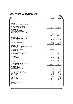|                                                            | <b>AS AT</b><br>31.03.2013<br>Rs. | AS A1<br>31.03.2012<br>Rs. |
|------------------------------------------------------------|-----------------------------------|----------------------------|
| <b>NOTE NO. 9</b><br><b>OTHER NON CURRENT ASSETS</b>       |                                   |                            |
| (Unsecured, considered good)                               |                                   |                            |
| Long Term Trade Receivables                                | 4,189,108                         | 4,187,908                  |
| <b>NOTE NO. 10</b>                                         |                                   |                            |
| <b>TRADE RECEIVABLES</b><br>(Unsecured, considered good)   |                                   |                            |
| Outstanding for a period exceeding six months.             | 0                                 | 0                          |
| <b>Others</b>                                              | 2,525,000                         | 4,001,200                  |
|                                                            | 2,525,000                         | 4,001,200                  |
| NOTE NO. 11                                                |                                   |                            |
| <b>CASH &amp; CASH EQUIVALENTS</b>                         |                                   |                            |
| Cash In Hand                                               | 513,511                           | 430,011                    |
| <b>Balance with Bank</b>                                   |                                   |                            |
| a) In Current Accounts                                     | 44,730<br>558,241                 | 71,584                     |
|                                                            |                                   | 501,595                    |
| <b>NOTE NO. 12</b><br><b>SHORT TERM LOANS AND ADVANCES</b> |                                   |                            |
| (Unsecured and considered good.),                          |                                   |                            |
| Advances to other parties                                  | 2,225,000                         | 0                          |
| <b>NOTE NO. 13</b>                                         |                                   |                            |
| <b>REVENUE FROM OPERATIONS</b>                             |                                   |                            |
| Sale of Products- Chemicals                                | 2,525,000                         | 3,900,200                  |
| <b>NOTE NO. 14</b>                                         |                                   |                            |
| <b>OTHER INCOME</b>                                        |                                   |                            |
| Interest Income                                            | 37,479                            | 93,205                     |
| Miscellaneous Income                                       |                                   | 171,984                    |
|                                                            | 37,479                            | 265,189                    |
| <b>NOTE NO. 15</b>                                         |                                   |                            |
| PURCHASES OF STOCK IN TRADE                                |                                   |                            |
| <b>Purchases- Chemicals</b>                                | 2,448,250                         | 3,793,300                  |
| <b>NOTE NO. 16</b>                                         |                                   |                            |
| <b>OTHER EXPENSES</b><br><b>Administrative Expenses</b>    |                                   |                            |
| Rent                                                       | 132,000                           | 5,500                      |
| Professional & Legal Fees                                  | 70,000                            | 25,000                     |
| Postage, Telegram & Telephone                              | 126,273                           | 44,561                     |
| <b>Bank Charges</b>                                        | 959                               | 480                        |
| Printing & Stationary<br>Conveyance                        | 50,500<br>10,000                  | 41,800<br>8,500            |
| <b>Listing Fees</b>                                        | 20,787                            | 74,710                     |
| <b>Registrar Fees</b>                                      | 28,000                            | 26,472                     |
| <b>Office Expenses</b>                                     | 25,500                            | 27,500                     |
| Electricity                                                | 4,650                             |                            |
| <b>Auditors Remuneration</b><br><b>Audit Fees</b>          | 10,000                            | 10,000                     |
|                                                            | 478,669                           | 264,523                    |
|                                                            |                                   |                            |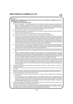## **NOTE NO. 17**

**SIGNIFICANT ACCOUNTING POLICIES AND ADDITIONAL NOTES TO THE FINACIAL STATEMENTS FOR THE YEAR ENDED 31ST MARCH. 2013.**

### **1. SIGNIFICANT ACCOUNTING POLICIES**

- a) Basis of Preparation: The financial statements of the Company have been prepared in accordance with generally accepted accounting principles in India. The company has prepared these financial statements to comply in all material respects with the accounting standards notified under the Companies(Accounting Standards) Rules 2006(as amended) and the relevant provisions of the Companies Act, 1956.. The financial statements have been prepared on an accrual basis and under the historical cost convention.
- b) Sales: The figures of sales are inclusive of sales tax and excise duty.
- c) Depreciation: Depreciation on Fixed Assets has been provided on Straight Line Method at rates prescribed in Schedule XIV to the Companies Act, 1956.
- d) Valuation of Stocks: Stock-in-Trade are valued at lower of cost or net realizable value.
- e) Investment; Investments of the Company, being non current investments, are stated at cost.
- f) Taxes on Income : Tax expenses comprises of current and deferred tax. Provision for Current tax is made based on the liability computed in accordance with the Indian Income Tax Act, 1961.The tax rates and tax laws used to compute the tax liability are those that are enacted or substantively enacted at the reporting date. Deferred tax is recognized on the basis of timing differences arising between the taxable income and accounting income computed using the tax rates and the laws that have been enacted or substantively enacted as of the balance sheet date. Deferred tax assets are recognized only if there is a virtual certainty that they will be realized and reviewed for the appropriateness of their carrying values at each balance sheet date.
- g) Cash flows Statement : Cash flows are reported using the indirect method, whereby profit/(loss) loss before extraordinary items and tax is adjusted for the effects of transactions of non-cash nature and any deferrals or accruals of past or future cash receipts or payments. The cash flows from operating, investing and financing activities of the company are segregated based on the available information.
- h) Earning Per Share : Basic earnings per share is computed by dividing the profit/(loss) after tax (including post tax effect of extraordinary items if any) by the weighted average number of equity shares outstanding during the year.
- i) Provisions, Contingent Liabilities and Contingent Assets: Provisions involving substantial degree of estimation in measurement are recognized when there is a present obligation as a result of past events and it is probable that there will be an outflow of resources. Contingent Liabilities are not recognized but are disclosed in the notes after careful evaluation of facts and legal aspects of the matter involved. Contingent Assets are not recognized. Provisions, Contingent Liabilities and Contingent Assets are reviewed at each Balance Sheet date.
- j) Impairment of Assets: The carrying amounts of assets are reviewed at each Balance Sheet date, if there is any indication of impairment based on internal/external factors. An asset is treated as impaired when the carrying cost of the assets exceeds its recoverable value. An impairment loss, if any, is charged to Profit and Loss Account in the year in which an asset is identified as impaired. Reversal of impairment losses recognized in prior years is recorded when there is an indication that the impairment losses recognized for the assets no longer exist or have decreased.
- 2. The debit and credit balances of the Parties including debtors, creditors and loans & advances are subject to confirmation from them.
- 3. The Company does not have a whole time secretary as required by the provisions of section 383-Aof the Companies Act, 1956.
- 4. As per the information available with the Company, there are no principal and/or interest amounts payable to the Suppliers under the Micro Small and Medium Enterprises Development Act,2006 at the close of the financial year.
- 5. Contingent liabilities/assets not provided for in the accounts:
	- a) Claim of SICOM for recovery of loans with interest Rs. NIL ( Previous year-Rs. 227 lacs) which was disputed by the Company.
	- b) The matter relating to grant of eligible benefits from the Eligible Certificate issued by Maharashtra State Government (SICOM) is pending before the Hon'ble Supreme Court of India which is admitted in Company's favour and if the final order comes in Company's favour then Company will be entitled to claim various benefits/damages/losses/Interest from the Maharashtra State Government (SICOM) which is estimated at around Rs. 23.60 crores (Previous year Rs. 20 crores).
- 6. The accumulated losses as on 31st March. 2013 exceeds the Net Worth of the Company; however, the Accounts are prepared on the basis that the Company is a going concern.
- 7. In the opinion of the Board the Current Assets, Loans & Advances are approximately of the value stated. if realized in the ordinary course of business. The provisions for all known liabilities are adequate and not in excess of amounts reasonably necessary. No personal expenses have been charged to revenue account.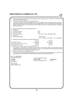| 8.  | those of the current year's figures.                                                                               | Previous year figures are regrouped and re-arranged wherever necessary so as to make them comparable with              |              |                    |
|-----|--------------------------------------------------------------------------------------------------------------------|------------------------------------------------------------------------------------------------------------------------|--------------|--------------------|
| 9.  | Disclosure of Segment Reporting (Accounting Standard 17):                                                          |                                                                                                                        |              |                    |
|     | The business segment has been considered as the primary segment. The main segment of the Company is                |                                                                                                                        |              |                    |
|     | manufacture and trading of Chemicals & Allied Products namely Paints, Thinners / industrial Solvents, Alkyed Resin |                                                                                                                        |              |                    |
|     |                                                                                                                    | & other Chemicals which is the only segment of the Company and hence no separate disclosure of Segment                 |              |                    |
|     | Reporting is required.                                                                                             |                                                                                                                        |              |                    |
|     |                                                                                                                    |                                                                                                                        |              |                    |
|     | 10. Disclosure of Related party (Accounting Standard 17):                                                          |                                                                                                                        |              |                    |
| a)  | Relationship                                                                                                       |                                                                                                                        |              |                    |
| (i) | <b>Subsidiary Company</b>                                                                                          | None                                                                                                                   |              |                    |
|     | (ii) Associate Concern                                                                                             | None                                                                                                                   |              |                    |
|     | (iii) Key Person (Director)<br>Transaction                                                                         | 1. Mr. Kumar V. Shah – Managing Director                                                                               |              |                    |
| b)  | Key Persons (Director)                                                                                             | 1. Remuneration                                                                                                        |              |                    |
| (i) |                                                                                                                    | M. D. K.V. Shah, - Rs. 90000/-                                                                                         |              | (P.Y. Rs. 90000/-) |
|     | 11. Disclosure of Earning Per Share (Accounting Standard 20)                                                       |                                                                                                                        |              |                    |
|     |                                                                                                                    | 2012-13                                                                                                                | 2011-12      |                    |
|     | Net Profit for The Year                                                                                            | (Rs. 544463)                                                                                                           | Rs. 2019792  |                    |
|     | No. of Equity Shares of Rs. 10/- each                                                                              | 5760070                                                                                                                | 5760070      |                    |
|     | Earnings per share - Basic                                                                                         | (Rs. 0.09)                                                                                                             | Rs. 0.35     |                    |
|     | 12. Disclosure of Taxes on income (Accounting Standard 22):                                                        |                                                                                                                        |              |                    |
|     |                                                                                                                    | No recognition of Net Deferred Tax Assets have been made in the Accounts related to carried forward losses             |              |                    |
|     |                                                                                                                    | available for set off under the provisions of Income Tax Act, 1961 due to non existence of virtual certainty supported |              |                    |
|     | by convincing evidence for availability of future taxable Income.                                                  |                                                                                                                        |              |                    |
|     | 13. Disclosure of Leases (Accounting Standard 19):                                                                 |                                                                                                                        |              |                    |
|     |                                                                                                                    | The Company as a Lessee has taken office premises at Vile Parle, Mumbai on operating lease for 11 months. The          |              |                    |
|     |                                                                                                                    | lease rent for the year Rs.132000 (PY Rs.5500) has been recognized in the profit & loss account.                       |              |                    |
|     | For C.K. PATIL & CO.                                                                                               |                                                                                                                        |              |                    |
|     | <b>Chartered Accountants</b>                                                                                       |                                                                                                                        |              |                    |
|     |                                                                                                                    | For and on behalf of the Board                                                                                         | H.A.Salunkhe |                    |
|     | <b>C.K.PATIL</b><br>Proprietor                                                                                     | Kumar V. Shah<br>Chairman & Managing Director                                                                          | Director     |                    |
|     | M.No:033243                                                                                                        |                                                                                                                        |              |                    |
|     |                                                                                                                    |                                                                                                                        |              |                    |
|     | Place: Mumbai                                                                                                      |                                                                                                                        |              |                    |
|     | Dated: 30th May, 2013                                                                                              |                                                                                                                        |              |                    |
|     |                                                                                                                    |                                                                                                                        |              |                    |
|     |                                                                                                                    |                                                                                                                        |              |                    |
|     |                                                                                                                    |                                                                                                                        |              |                    |
|     |                                                                                                                    |                                                                                                                        |              |                    |
|     |                                                                                                                    |                                                                                                                        |              |                    |
|     |                                                                                                                    |                                                                                                                        |              |                    |
|     |                                                                                                                    |                                                                                                                        |              |                    |
|     |                                                                                                                    |                                                                                                                        |              |                    |
|     |                                                                                                                    |                                                                                                                        |              |                    |
|     |                                                                                                                    |                                                                                                                        |              |                    |
|     |                                                                                                                    |                                                                                                                        |              |                    |
|     |                                                                                                                    |                                                                                                                        |              |                    |
|     |                                                                                                                    |                                                                                                                        |              |                    |
|     |                                                                                                                    |                                                                                                                        |              |                    |
|     |                                                                                                                    |                                                                                                                        |              |                    |
|     |                                                                                                                    |                                                                                                                        |              |                    |

 $2\epsilon$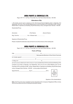Regd. Off: F111, 1st Floor, Prime Mall, Irla, Vile Parle (West) Mumbai - 400 056.

## **Attendance Slip**

I, We hereby record my/our presence at the 23rd Annual General Meeting held on Saturday 21st September, 2013 at 9.15 am at Ultra Meeting room (In the Premises of PXL soft office) 3A/3B, 1st floor, Master Mind II, Opp Moroccon Building ,Royal Palms Aarey colony, Goregaon East Mumbai – 400 065

Shareholder/Proxy:

| (Surname) | (First Name) | (Second Name) |
|-----------|--------------|---------------|
|           |              |               |

Signature of Shareholder/Proxy

Please complete this attendance slip and hand it over at the entrance of the meeting hall.

## *DERA PAINTS & CHEMICALS LTD.*

Regd. Off: F111, 1st Floor, Prime Mall, Irla, Vile Parle (West) Mumbai - 400 056.

## **Form of Proxy**

| I/We                                                                                                    | of                                            |       |                                      |  |
|---------------------------------------------------------------------------------------------------------|-----------------------------------------------|-------|--------------------------------------|--|
|                                                                                                         | Being Member/Members of Dera Paints Chemicals |       |                                      |  |
| Ltd. hereby appoint                                                                                     |                                               |       |                                      |  |
|                                                                                                         | of                                            |       |                                      |  |
|                                                                                                         | of                                            |       |                                      |  |
| as my/our proxy to attend and vote for me/us on my/our behalf at the 23rd Annual General Meeting of the |                                               |       |                                      |  |
| Company to be held on Saturday, 21st September, 2013 at 9.15 am at Ultra Meeting room (In the           |                                               |       |                                      |  |
| Premises of PXL soft office) 3A/3B, 1st floor, Master Mind II, Opp Moroccon Building, Royal Palms Aarey |                                               |       |                                      |  |
| colony, Goregaon East Mumbai – 400 065 or at any adjournment thereof.                                   |                                               |       |                                      |  |
| Signed this the day of day of                                                                           |                                               | 2013. | Affix<br>1 Rupee<br>Revenue<br>stamp |  |

Signature of the shareholder(s)

**Note:** This Proxy form duly completed must be deposited at the Company's Registered Office not less than 48 hours before the time of holding the aforesaid meeting.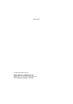BOOK-POST

If undelivered please return to:

**DERA PAINTS & CHEMICALS LTD.** Regd. Off: F-111,1st Floor, Prime Mall, Irla Vile Parle(West), Mumbai - 400 056.